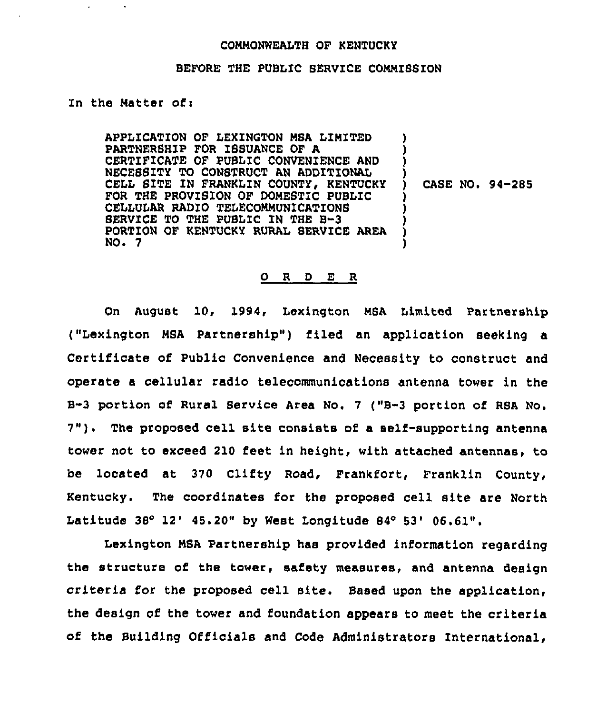## COMMONWEALTH OF KENTUCKY

## BEFORE THE PUBLIC SERVICE COMMISSION

## In the Matter of:

APPLICATION OF LEXINGTON MSA LIMITED PARTNERSHIP FOR ISSUANCE OF A CERTIFICATE OF PUBLIC CONVENIENCE AND NECESSITY TO CONSTRUCT AN ADDITIONAL CELL SITE IN FRANKLIN COUNTY, KENTUCKY FOR THE PROVISION OF DOMESTIC PUBLIC CELLULAR RADIO TELECOMMUNICATIONS SERVICE TO THE PUBLIC IN THE B-3 PORTION OF KENTUCKY RURAL SERVICE AREA NO. 7 ) ) ) ) )

) CASE NO. 94-285

## 0 R <u>D E R</u>

On August 10, 1994, Lexington MSA Limited Partnership ("Lexington MSA Partnership") filed an application seeking a Certificate of Public Convenience and Necessity to construct and operate a cellular radio telecommunications antenna tower in the B-3 portion of Rural Bervice Area No. <sup>7</sup> ("B-3 portion of RSA No. 7"). The proposed cell site consists of <sup>a</sup> self-supporting antenna tower not to exceed 210 feet in height, with attached antennas, to be located at 370 Clifty Road, Frankfort, Franklin County, Kentucky. The coordinates for the proposed cell site are North Latitude 38° 12' 45.20" by West Longitude 84° 53' 06.61".

Lexington MSA Partnership has provided information regarding the structure of the tower, safety measures, and antenna design criteria for the proposed cell site. Based upon the application, the design of the tower and foundation appears to meet the criteria of the Building Officials and Code Administrators International,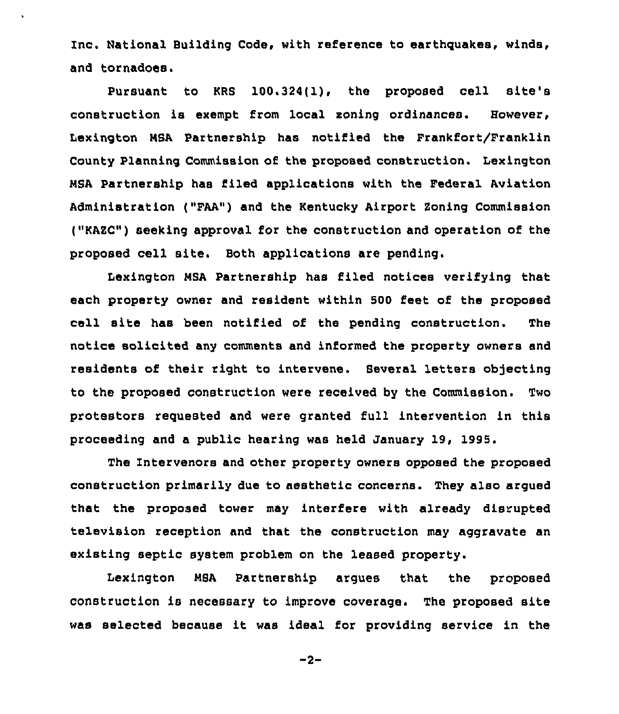Inc. National Building Code, with reference to earthquakes, winds, and tornadoes.

Pursuant to KRS 100.324(1), the proposed cell site's construction is exempt from local zoning ordinances. However, Lexington MSA Partnership has notified the Frankfort/Franklin County Planning Commission of the proposed construction. Lexington NSA Partnership has filed applications with the Federal Aviation Administration ("FAA") and the Kentucky Airport Soning Commission ("KASC") seeking approval for the construction and operation of the proposed cell site. Both applications are pending.

Lexington MSA Partnership has filed notices verifying that each property owner and resident within 500 feet of the proposed cell site has been notified of the pending construction. The notice solicited any comments and informed the property owners snd residents of their right to intervene. Several letters objecting to the proposed construction were received by the Commission. Two protestors requested and were granted full intervention in this proceeding and a public hearing was held January 19, 1995.

The Intervenors and other property owners opposed the proposed construction primarily due to aesthetic concerns. They also argued that the proposed tower may interfere with already disrupted television reception and that the construction may aggravate an existing septic system problem on the leased property.

Lexington NSA Partnership argues that the proposed construction is necessary to improve coverage. The proposed site was selected because it was ideal for providing service in the

$$
-2-
$$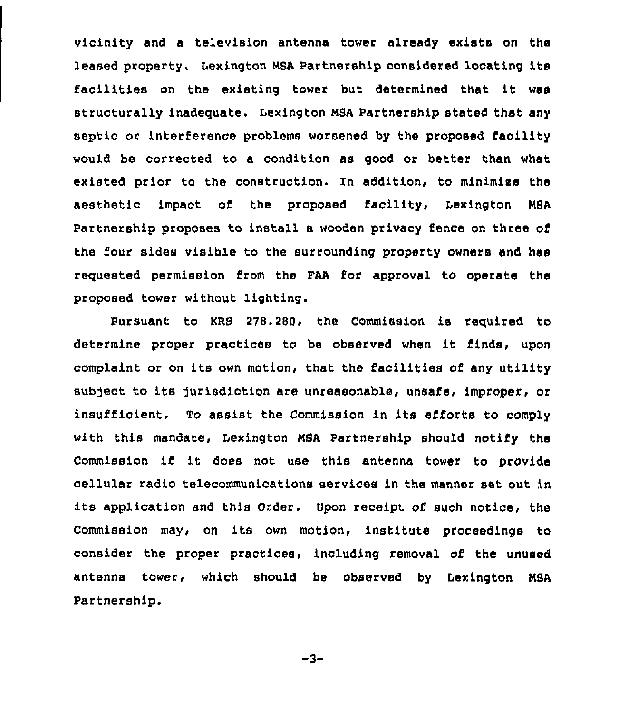vicinity and a television antenna tower already exists on the leased property. Lexington MSA Partnership considered locating its facilities on the existing tower but determined that it was structurally inadequate. Lexington M8A Partnership stated that any septic or interference problems worsened by the proposed facility would be corrected to a condition as good or better than what existed prior to the construction. In addition, to minimize the aesthetic impact of the proposed facility, Lexington MSA Partnership proposes to install a wooden privacy fence on three of the four sides visible to the surrounding property owners and has requested permission from the FAA for approval to operate the proposed tower without lighting.

Pursuant to KRS 278.280, the Commission is required to determine proper practices to be observed when it finds, upon complaint or on its own motion, that the facilities of any utility subject to its jurisdiction are unreasonable, unsafe, improper, or insufficient. To assist the Commission in its efforts to comply with this mandate, Lexington MSA Partnership should notify the Commission if it does not use this antenna tower to provide cellular radio telecommunications services in the manner set out in its application and this Order. Upon receipt of such notice, the Commission may, on its own motion, institute proceedings to consider the proper practices, including removal of the unused antenna tower, which should be observed by Lexington MSA Partnership.

 $-3-$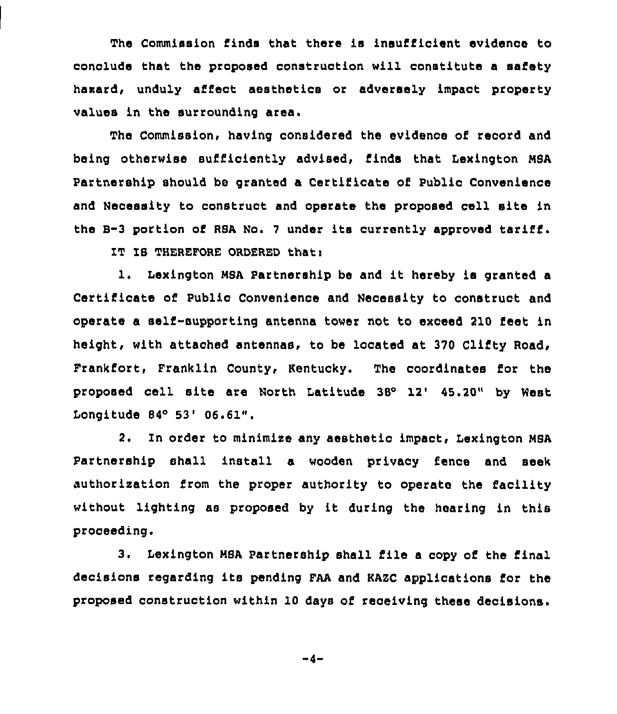The Commission finds that there is insufficient evidence to conclude that the proposed construction will constitute a safety hasard, unduly affect aesthetics or adversely impact property values in the surrounding area.

The Commission, having considered the evidence of record and being otherwise sufficiently advised, finds that Iexington NSA Partnership should be granted a Certificate of Public Convenience and Necessity to construct and operate the proposed cell site in the B-3 portion of RSA No. 7 under its currently approved tariff.

IT IS THEREFORE ORDERED that:

l. Lexington NSA Partnership be and it hereby is granted <sup>a</sup> Certificate of Public Convenience and Necessity to construct and operate a self-supporting antenna tower not to exceed 210 feet in height, with attached antennas, to be located at 370 Clifty Road, Frankfort, Franklin County, Kentucky. The coordinates for the proposed cell site are North Latitude 38° 12' 45.20" by West Longitude  $84^{\circ}$  53'  $06.61$ ".

2. In order to minimize any aesthetic impact, Lexington MSA Partnership shall install a wooden privacy fence and seek authorisation from the proper authority to operate the facility without lighting as proposed by it during the hearing in this proceeding.

3. Lexington NSA Partnership shall file a copy of the final decisions regar8ing its pending FAA and KAZC applications for the proposed construction within 10 days of receiving these decisions.

 $-4-$